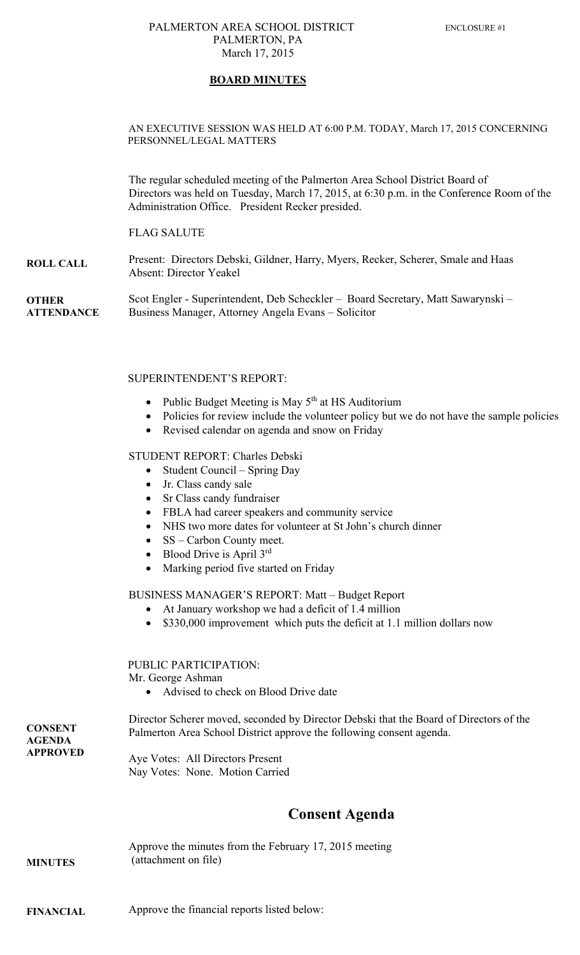#### PALMERTON AREA SCHOOL DISTRICT ENCLOSURE #1 PALMERTON, PA March 17, 2015

### **BOARD MINUTES**

#### AN EXECUTIVE SESSION WAS HELD AT 6:00 P.M. TODAY, March 17, 2015 CONCERNING PERSONNEL/LEGAL MATTERS

The regular scheduled meeting of the Palmerton Area School District Board of Directors was held on Tuesday, March 17, 2015, at 6:30 p.m. in the Conference Room of the Administration Office. President Recker presided.

#### FLAG SALUTE

**ROLL CALL**  Present: Directors Debski, Gildner, Harry, Myers, Recker, Scherer, Smale and Haas Absent: Director Yeakel

**OTHER ATTENDANCE**  Scot Engler - Superintendent, Deb Scheckler – Board Secretary, Matt Sawarynski – Business Manager, Attorney Angela Evans – Solicitor

#### SUPERINTENDENT'S REPORT:

- Public Budget Meeting is May  $5<sup>th</sup>$  at HS Auditorium
- Policies for review include the volunteer policy but we do not have the sample policies
- Revised calendar on agenda and snow on Friday

#### STUDENT REPORT: Charles Debski

- $\bullet$  Student Council Spring Day
- Jr. Class candy sale
- Sr Class candy fundraiser
- FBLA had career speakers and community service
- NHS two more dates for volunteer at St John's church dinner
- SS Carbon County meet.
- $\bullet$  Blood Drive is April 3rd
- Marking period five started on Friday

#### BUSINESS MANAGER'S REPORT: Matt – Budget Report

- At January workshop we had a deficit of 1.4 million
- \$330,000 improvement which puts the deficit at 1.1 million dollars now

#### PUBLIC PARTICIPATION:

Mr. George Ashman

• Advised to check on Blood Drive date

**CONSENT AGENDA APPROVED**  Director Scherer moved, seconded by Director Debski that the Board of Directors of the Palmerton Area School District approve the following consent agenda.

Aye Votes: All Directors Present Nay Votes: None. Motion Carried

# **Consent Agenda**

#### **MINUTES**  Approve the minutes from the February 17, 2015 meeting (attachment on file)

**FINANCIAL**  Approve the financial reports listed below: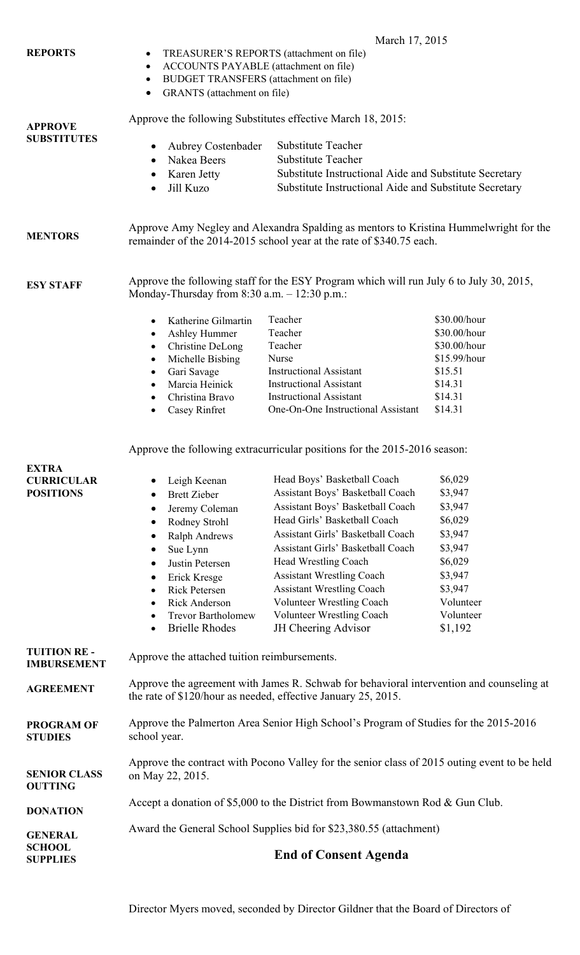|                                                                              | March 17, 2015                                                                                                                                                                                                                                                                                                                                                                        |                                                                                                                                                                                                                                                                                                                                                                                                                                                                                    |                                                                                                                                      |  |
|------------------------------------------------------------------------------|---------------------------------------------------------------------------------------------------------------------------------------------------------------------------------------------------------------------------------------------------------------------------------------------------------------------------------------------------------------------------------------|------------------------------------------------------------------------------------------------------------------------------------------------------------------------------------------------------------------------------------------------------------------------------------------------------------------------------------------------------------------------------------------------------------------------------------------------------------------------------------|--------------------------------------------------------------------------------------------------------------------------------------|--|
| <b>REPORTS</b>                                                               | TREASURER'S REPORTS (attachment on file)<br>$\bullet$                                                                                                                                                                                                                                                                                                                                 |                                                                                                                                                                                                                                                                                                                                                                                                                                                                                    |                                                                                                                                      |  |
|                                                                              | <b>ACCOUNTS PAYABLE</b> (attachment on file)<br>$\bullet$                                                                                                                                                                                                                                                                                                                             |                                                                                                                                                                                                                                                                                                                                                                                                                                                                                    |                                                                                                                                      |  |
|                                                                              | BUDGET TRANSFERS (attachment on file)<br>$\bullet$                                                                                                                                                                                                                                                                                                                                    |                                                                                                                                                                                                                                                                                                                                                                                                                                                                                    |                                                                                                                                      |  |
|                                                                              | GRANTS (attachment on file)<br>$\bullet$                                                                                                                                                                                                                                                                                                                                              |                                                                                                                                                                                                                                                                                                                                                                                                                                                                                    |                                                                                                                                      |  |
| <b>APPROVE</b>                                                               | Approve the following Substitutes effective March 18, 2015:                                                                                                                                                                                                                                                                                                                           |                                                                                                                                                                                                                                                                                                                                                                                                                                                                                    |                                                                                                                                      |  |
| <b>SUBSTITUTES</b>                                                           | <b>Aubrey Costenbader</b>                                                                                                                                                                                                                                                                                                                                                             | <b>Substitute Teacher</b>                                                                                                                                                                                                                                                                                                                                                                                                                                                          |                                                                                                                                      |  |
|                                                                              | Nakea Beers<br>$\bullet$                                                                                                                                                                                                                                                                                                                                                              | <b>Substitute Teacher</b>                                                                                                                                                                                                                                                                                                                                                                                                                                                          |                                                                                                                                      |  |
|                                                                              | Karen Jetty                                                                                                                                                                                                                                                                                                                                                                           | Substitute Instructional Aide and Substitute Secretary                                                                                                                                                                                                                                                                                                                                                                                                                             |                                                                                                                                      |  |
|                                                                              | Jill Kuzo<br>$\bullet$                                                                                                                                                                                                                                                                                                                                                                | Substitute Instructional Aide and Substitute Secretary                                                                                                                                                                                                                                                                                                                                                                                                                             |                                                                                                                                      |  |
| <b>MENTORS</b>                                                               | Approve Amy Negley and Alexandra Spalding as mentors to Kristina Hummelwright for the<br>remainder of the 2014-2015 school year at the rate of \$340.75 each.                                                                                                                                                                                                                         |                                                                                                                                                                                                                                                                                                                                                                                                                                                                                    |                                                                                                                                      |  |
| <b>ESY STAFF</b>                                                             | Approve the following staff for the ESY Program which will run July 6 to July 30, 2015,<br>Monday-Thursday from $8:30$ a.m. $-12:30$ p.m.:                                                                                                                                                                                                                                            |                                                                                                                                                                                                                                                                                                                                                                                                                                                                                    |                                                                                                                                      |  |
|                                                                              | Katherine Gilmartin                                                                                                                                                                                                                                                                                                                                                                   | Teacher                                                                                                                                                                                                                                                                                                                                                                                                                                                                            | \$30.00/hour                                                                                                                         |  |
|                                                                              | $\bullet$                                                                                                                                                                                                                                                                                                                                                                             | Teacher                                                                                                                                                                                                                                                                                                                                                                                                                                                                            | \$30.00/hour                                                                                                                         |  |
|                                                                              | Ashley Hummer<br>$\bullet$<br><b>Christine DeLong</b><br>$\bullet$                                                                                                                                                                                                                                                                                                                    | Teacher                                                                                                                                                                                                                                                                                                                                                                                                                                                                            | \$30.00/hour                                                                                                                         |  |
|                                                                              | Michelle Bisbing<br>$\bullet$                                                                                                                                                                                                                                                                                                                                                         | Nurse                                                                                                                                                                                                                                                                                                                                                                                                                                                                              | \$15.99/hour                                                                                                                         |  |
|                                                                              | Gari Savage<br>$\bullet$                                                                                                                                                                                                                                                                                                                                                              | <b>Instructional Assistant</b>                                                                                                                                                                                                                                                                                                                                                                                                                                                     | \$15.51                                                                                                                              |  |
|                                                                              | Marcia Heinick<br>$\bullet$                                                                                                                                                                                                                                                                                                                                                           | <b>Instructional Assistant</b>                                                                                                                                                                                                                                                                                                                                                                                                                                                     | \$14.31                                                                                                                              |  |
|                                                                              | Christina Bravo<br>$\bullet$                                                                                                                                                                                                                                                                                                                                                          | <b>Instructional Assistant</b>                                                                                                                                                                                                                                                                                                                                                                                                                                                     | \$14.31                                                                                                                              |  |
|                                                                              | Casey Rinfret<br>$\bullet$                                                                                                                                                                                                                                                                                                                                                            | One-On-One Instructional Assistant                                                                                                                                                                                                                                                                                                                                                                                                                                                 | \$14.31                                                                                                                              |  |
| <b>EXTRA</b><br><b>CURRICULAR</b><br><b>POSITIONS</b><br><b>TUITION RE -</b> | Leigh Keenan<br><b>Brett Zieber</b><br>Jeremy Coleman<br>$\bullet$<br>Rodney Strohl<br>$\bullet$<br><b>Ralph Andrews</b><br>$\bullet$<br>Sue Lynn<br>$\bullet$<br>Justin Petersen<br>$\bullet$<br>Erick Kresge<br>$\bullet$<br><b>Rick Petersen</b><br>$\bullet$<br><b>Rick Anderson</b><br>$\bullet$<br><b>Trevor Bartholomew</b><br>$\bullet$<br><b>Brielle Rhodes</b><br>$\bullet$ | Approve the following extracurricular positions for the 2015-2016 season:<br>Head Boys' Basketball Coach<br>Assistant Boys' Basketball Coach<br>Assistant Boys' Basketball Coach<br>Head Girls' Basketball Coach<br>Assistant Girls' Basketball Coach<br>Assistant Girls' Basketball Coach<br>Head Wrestling Coach<br><b>Assistant Wrestling Coach</b><br><b>Assistant Wrestling Coach</b><br>Volunteer Wrestling Coach<br><b>Volunteer Wrestling Coach</b><br>JH Cheering Advisor | \$6,029<br>\$3,947<br>\$3,947<br>\$6,029<br>\$3,947<br>\$3,947<br>\$6,029<br>\$3,947<br>\$3,947<br>Volunteer<br>Volunteer<br>\$1,192 |  |
| <b>IMBURSEMENT</b>                                                           | Approve the attached tuition reimbursements.                                                                                                                                                                                                                                                                                                                                          |                                                                                                                                                                                                                                                                                                                                                                                                                                                                                    |                                                                                                                                      |  |
| <b>AGREEMENT</b>                                                             | Approve the agreement with James R. Schwab for behavioral intervention and counseling at<br>the rate of \$120/hour as needed, effective January 25, 2015.                                                                                                                                                                                                                             |                                                                                                                                                                                                                                                                                                                                                                                                                                                                                    |                                                                                                                                      |  |
| <b>PROGRAM OF</b><br><b>STUDIES</b>                                          | Approve the Palmerton Area Senior High School's Program of Studies for the 2015-2016<br>school year.                                                                                                                                                                                                                                                                                  |                                                                                                                                                                                                                                                                                                                                                                                                                                                                                    |                                                                                                                                      |  |
| <b>SENIOR CLASS</b><br><b>OUTTING</b>                                        | Approve the contract with Pocono Valley for the senior class of 2015 outing event to be held<br>on May 22, 2015.                                                                                                                                                                                                                                                                      |                                                                                                                                                                                                                                                                                                                                                                                                                                                                                    |                                                                                                                                      |  |
| <b>DONATION</b>                                                              | Accept a donation of \$5,000 to the District from Bowmanstown Rod & Gun Club.                                                                                                                                                                                                                                                                                                         |                                                                                                                                                                                                                                                                                                                                                                                                                                                                                    |                                                                                                                                      |  |
| <b>GENERAL</b>                                                               |                                                                                                                                                                                                                                                                                                                                                                                       | Award the General School Supplies bid for \$23,380.55 (attachment)                                                                                                                                                                                                                                                                                                                                                                                                                 |                                                                                                                                      |  |
| <b>SCHOOL</b><br><b>SUPPLIES</b>                                             | <b>End of Consent Agenda</b>                                                                                                                                                                                                                                                                                                                                                          |                                                                                                                                                                                                                                                                                                                                                                                                                                                                                    |                                                                                                                                      |  |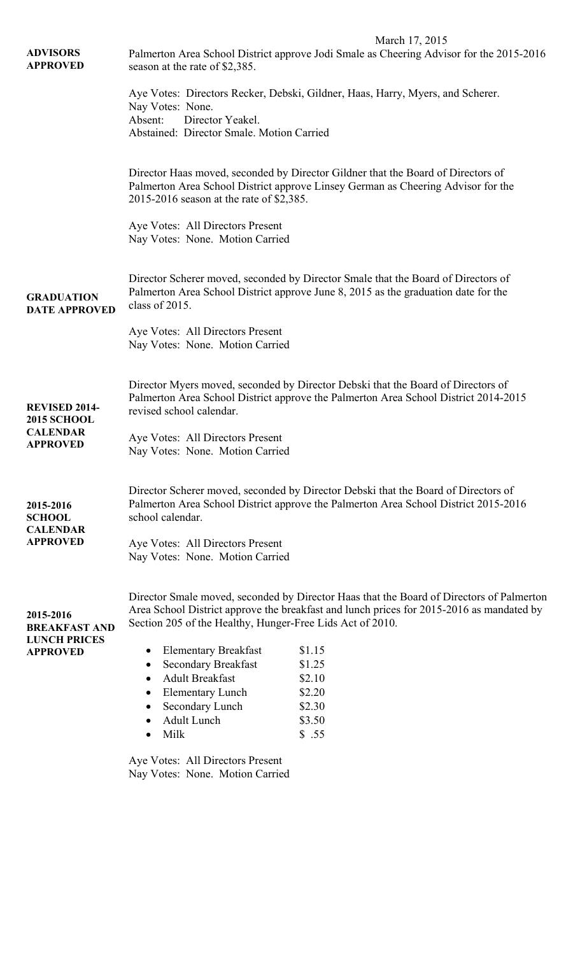|                                       | March 17, 2015                                                                                                                                                                                                   |                                                                                          |  |  |
|---------------------------------------|------------------------------------------------------------------------------------------------------------------------------------------------------------------------------------------------------------------|------------------------------------------------------------------------------------------|--|--|
| <b>ADVISORS</b>                       | Palmerton Area School District approve Jodi Smale as Cheering Advisor for the 2015-2016                                                                                                                          |                                                                                          |  |  |
| <b>APPROVED</b>                       | season at the rate of \$2,385.                                                                                                                                                                                   |                                                                                          |  |  |
|                                       | Aye Votes: Directors Recker, Debski, Gildner, Haas, Harry, Myers, and Scherer.<br>Nay Votes: None.<br>Absent:<br>Director Yeakel.                                                                                |                                                                                          |  |  |
|                                       |                                                                                                                                                                                                                  |                                                                                          |  |  |
|                                       |                                                                                                                                                                                                                  |                                                                                          |  |  |
|                                       | Abstained: Director Smale. Motion Carried                                                                                                                                                                        |                                                                                          |  |  |
|                                       |                                                                                                                                                                                                                  |                                                                                          |  |  |
|                                       | Director Haas moved, seconded by Director Gildner that the Board of Directors of<br>Palmerton Area School District approve Linsey German as Cheering Advisor for the<br>2015-2016 season at the rate of \$2,385. |                                                                                          |  |  |
|                                       |                                                                                                                                                                                                                  |                                                                                          |  |  |
|                                       |                                                                                                                                                                                                                  |                                                                                          |  |  |
|                                       |                                                                                                                                                                                                                  |                                                                                          |  |  |
|                                       | Aye Votes: All Directors Present                                                                                                                                                                                 |                                                                                          |  |  |
|                                       | Nay Votes: None. Motion Carried                                                                                                                                                                                  |                                                                                          |  |  |
|                                       |                                                                                                                                                                                                                  |                                                                                          |  |  |
|                                       | Director Scherer moved, seconded by Director Smale that the Board of Directors of                                                                                                                                |                                                                                          |  |  |
| <b>GRADUATION</b>                     | Palmerton Area School District approve June 8, 2015 as the graduation date for the                                                                                                                               |                                                                                          |  |  |
| <b>DATE APPROVED</b>                  | class of 2015.                                                                                                                                                                                                   |                                                                                          |  |  |
|                                       | Aye Votes: All Directors Present<br>Nay Votes: None. Motion Carried                                                                                                                                              |                                                                                          |  |  |
|                                       |                                                                                                                                                                                                                  |                                                                                          |  |  |
|                                       |                                                                                                                                                                                                                  |                                                                                          |  |  |
|                                       |                                                                                                                                                                                                                  |                                                                                          |  |  |
|                                       | Director Myers moved, seconded by Director Debski that the Board of Directors of<br>Palmerton Area School District approve the Palmerton Area School District 2014-2015                                          |                                                                                          |  |  |
| <b>REVISED 2014-</b>                  | revised school calendar.                                                                                                                                                                                         |                                                                                          |  |  |
| <b>2015 SCHOOL</b><br><b>CALENDAR</b> |                                                                                                                                                                                                                  |                                                                                          |  |  |
| <b>APPROVED</b>                       | Aye Votes: All Directors Present<br>Nay Votes: None. Motion Carried                                                                                                                                              |                                                                                          |  |  |
|                                       |                                                                                                                                                                                                                  |                                                                                          |  |  |
|                                       |                                                                                                                                                                                                                  |                                                                                          |  |  |
|                                       | Director Scherer moved, seconded by Director Debski that the Board of Directors of<br>Palmerton Area School District approve the Palmerton Area School District 2015-2016                                        |                                                                                          |  |  |
| 2015-2016                             |                                                                                                                                                                                                                  |                                                                                          |  |  |
| <b>SCHOOL</b><br><b>CALENDAR</b>      | school calendar.                                                                                                                                                                                                 |                                                                                          |  |  |
| <b>APPROVED</b>                       | Aye Votes: All Directors Present<br>Nay Votes: None. Motion Carried                                                                                                                                              |                                                                                          |  |  |
|                                       |                                                                                                                                                                                                                  |                                                                                          |  |  |
|                                       |                                                                                                                                                                                                                  |                                                                                          |  |  |
|                                       |                                                                                                                                                                                                                  | Director Smale moved, seconded by Director Haas that the Board of Directors of Palmerton |  |  |
| 2015-2016                             | Area School District approve the breakfast and lunch prices for 2015-2016 as mandated by                                                                                                                         |                                                                                          |  |  |
| <b>BREAKFAST AND</b>                  | Section 205 of the Healthy, Hunger-Free Lids Act of 2010.                                                                                                                                                        |                                                                                          |  |  |
| <b>LUNCH PRICES</b>                   |                                                                                                                                                                                                                  |                                                                                          |  |  |
| <b>APPROVED</b>                       | <b>Elementary Breakfast</b><br>$\bullet$                                                                                                                                                                         | \$1.15                                                                                   |  |  |
|                                       | <b>Secondary Breakfast</b><br>٠<br><b>Adult Breakfast</b>                                                                                                                                                        | \$1.25                                                                                   |  |  |
|                                       | $\bullet$<br><b>Elementary Lunch</b><br>٠                                                                                                                                                                        | \$2.10<br>\$2.20                                                                         |  |  |
|                                       | Secondary Lunch<br>٠                                                                                                                                                                                             | \$2.30                                                                                   |  |  |
|                                       | <b>Adult Lunch</b>                                                                                                                                                                                               | \$3.50                                                                                   |  |  |
|                                       | Milk                                                                                                                                                                                                             | \$.55                                                                                    |  |  |
|                                       |                                                                                                                                                                                                                  |                                                                                          |  |  |
|                                       | Aye Votes: All Directors Present                                                                                                                                                                                 |                                                                                          |  |  |
|                                       | Nay Votes: None. Motion Carried                                                                                                                                                                                  |                                                                                          |  |  |